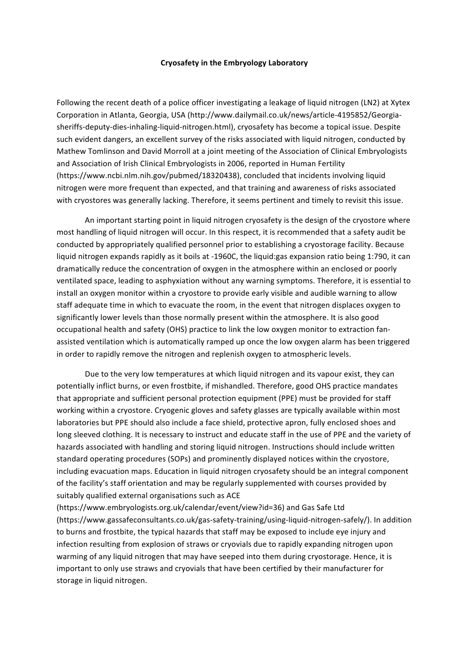## **Cryosafety in the Embryology Laboratory**

Following the recent death of a police officer investigating a leakage of liquid nitrogen (LN2) at Xytex Corporation in Atlanta, Georgia, USA (http://www.dailymail.co.uk/news/article-4195852/Georgiasheriffs-deputy-dies-inhaling-liquid-nitrogen.html), cryosafety has become a topical issue. Despite such evident dangers, an excellent survey of the risks associated with liquid nitrogen, conducted by Mathew Tomlinson and David Morroll at a joint meeting of the Association of Clinical Embryologists and Association of Irish Clinical Embryologists in 2006, reported in Human Fertility (https://www.ncbi.nlm.nih.gov/pubmed/18320438), concluded that incidents involving liquid nitrogen were more frequent than expected, and that training and awareness of risks associated with cryostores was generally lacking. Therefore, it seems pertinent and timely to revisit this issue.

An important starting point in liquid nitrogen cryosafety is the design of the cryostore where most handling of liquid nitrogen will occur. In this respect, it is recommended that a safety audit be conducted by appropriately qualified personnel prior to establishing a cryostorage facility. Because liquid nitrogen expands rapidly as it boils at -1960C, the liquid:gas expansion ratio being 1:790, it can dramatically reduce the concentration of oxygen in the atmosphere within an enclosed or poorly ventilated space, leading to asphyxiation without any warning symptoms. Therefore, it is essential to install an oxygen monitor within a cryostore to provide early visible and audible warning to allow staff adequate time in which to evacuate the room, in the event that nitrogen displaces oxygen to significantly lower levels than those normally present within the atmosphere. It is also good occupational health and safety (OHS) practice to link the low oxygen monitor to extraction fanassisted ventilation which is automatically ramped up once the low oxygen alarm has been triggered in order to rapidly remove the nitrogen and replenish oxygen to atmospheric levels.

Due to the very low temperatures at which liquid nitrogen and its vapour exist, they can potentially inflict burns, or even frostbite, if mishandled. Therefore, good OHS practice mandates that appropriate and sufficient personal protection equipment (PPE) must be provided for staff working within a cryostore. Cryogenic gloves and safety glasses are typically available within most laboratories but PPE should also include a face shield, protective apron, fully enclosed shoes and long sleeved clothing. It is necessary to instruct and educate staff in the use of PPE and the variety of hazards associated with handling and storing liquid nitrogen. Instructions should include written standard operating procedures (SOPs) and prominently displayed notices within the cryostore, including evacuation maps. Education in liquid nitrogen cryosafety should be an integral component of the facility's staff orientation and may be regularly supplemented with courses provided by suitably qualified external organisations such as ACE

(https://www.embryologists.org.uk/calendar/event/view?id=36) and Gas Safe Ltd (https://www.gassafeconsultants.co.uk/gas-safety-training/using-liquid-nitrogen-safely/). In addition to burns and frostbite, the typical hazards that staff may be exposed to include eye injury and infection resulting from explosion of straws or cryovials due to rapidly expanding nitrogen upon warming of any liquid nitrogen that may have seeped into them during cryostorage. Hence, it is important to only use straws and cryovials that have been certified by their manufacturer for storage in liquid nitrogen.